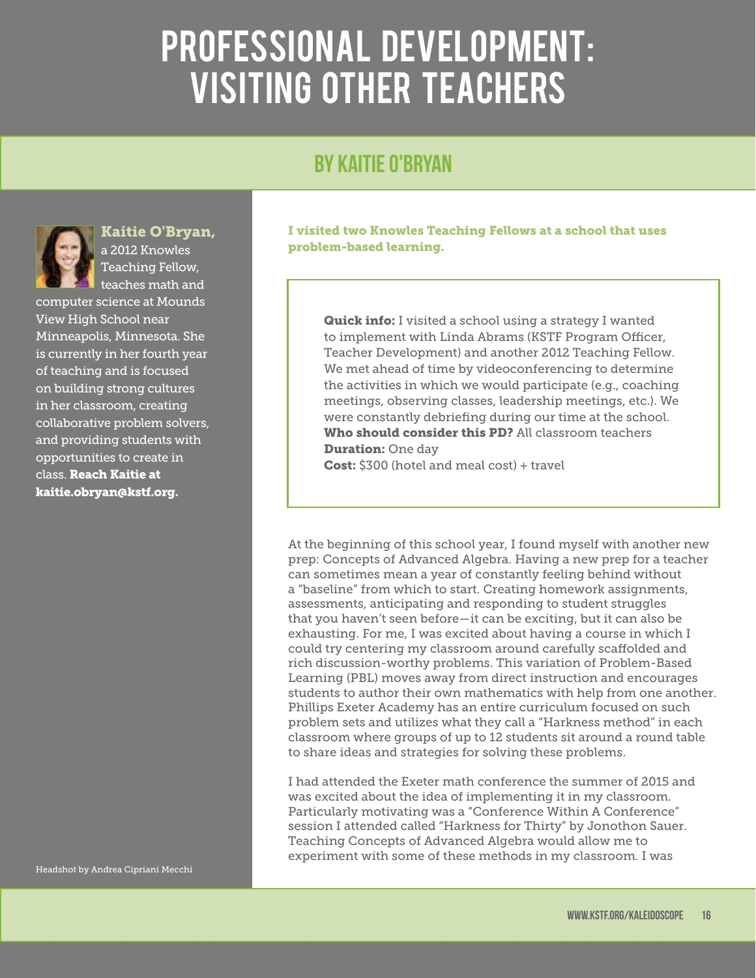## PROFESSIONAL DEVELOPMENT: VISITING OTHER TEACHERS

## By Kaitie O'Bryan



## Kaitie O'Bryan,

a 2012 Knowles Teaching Fellow, teaches math and

computer science at Mounds View High School near Minneapolis, Minnesota. She is currently in her fourth year of teaching and is focused on building strong cultures in her classroom, creating collaborative problem solvers, and providing students with opportunities to create in class. Reach Kaitie at kaitie.obryan@kstf.org.

I visited two Knowles Teaching Fellows at a school that uses problem-based learning.

**Quick info:** I visited a school using a strategy I wanted to implement with Linda Abrams (KSTF Program Officer, Teacher Development) and another 2012 Teaching Fellow. We met ahead of time by videoconferencing to determine the activities in which we would participate (e.g., coaching meetings, observing classes, leadership meetings, etc.). We were constantly debriefing during our time at the school. Who should consider this PD? All classroom teachers **Duration: One day** Cost: \$300 (hotel and meal cost) + travel

At the beginning of this school year, I found myself with another new prep: Concepts of Advanced Algebra. Having a new prep for a teacher can sometimes mean a year of constantly feeling behind without a "baseline" from which to start. Creating homework assignments, assessments, anticipating and responding to student struggles that you haven't seen before—it can be exciting, but it can also be exhausting. For me, I was excited about having a course in which I could try centering my classroom around carefully scaffolded and rich discussion-worthy problems. This variation of Problem-Based Learning (PBL) moves away from direct instruction and encourages students to author their own mathematics with help from one another. Phillips Exeter Academy has an entire curriculum focused on such problem sets and utilizes what they call a "Harkness method" in each classroom where groups of up to 12 students sit around a round table to share ideas and strategies for solving these problems.

I had attended the Exeter math conference the summer of 2015 and was excited about the idea of implementing it in my classroom. Particularly motivating was a "Conference Within A Conference" session I attended called "Harkness for Thirty" by Jonothon Sauer. Teaching Concepts of Advanced Algebra would allow me to experiment with some of these methods in my classroom. I was

Headshot by Andrea Cipriani Mecchi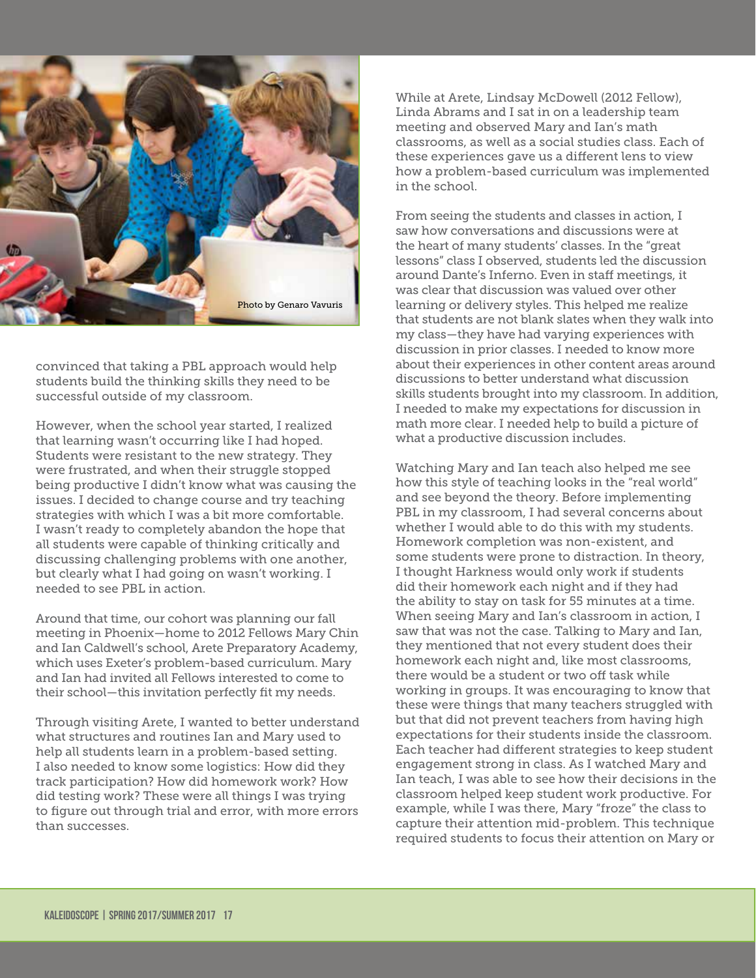

convinced that taking a PBL approach would help students build the thinking skills they need to be successful outside of my classroom.

However, when the school year started, I realized that learning wasn't occurring like I had hoped. Students were resistant to the new strategy. They were frustrated, and when their struggle stopped being productive I didn't know what was causing the issues. I decided to change course and try teaching strategies with which I was a bit more comfortable. I wasn't ready to completely abandon the hope that all students were capable of thinking critically and discussing challenging problems with one another, but clearly what I had going on wasn't working. I needed to see PBL in action.

Around that time, our cohort was planning our fall meeting in Phoenix—home to 2012 Fellows Mary Chin and Ian Caldwell's school, Arete Preparatory Academy, which uses Exeter's problem-based curriculum. Mary and Ian had invited all Fellows interested to come to their school—this invitation perfectly fit my needs.

Through visiting Arete, I wanted to better understand what structures and routines Ian and Mary used to help all students learn in a problem-based setting. I also needed to know some logistics: How did they track participation? How did homework work? How did testing work? These were all things I was trying to figure out through trial and error, with more errors than successes.

While at Arete, Lindsay McDowell (2012 Fellow), Linda Abrams and I sat in on a leadership team meeting and observed Mary and Ian's math classrooms, as well as a social studies class. Each of these experiences gave us a different lens to view how a problem-based curriculum was implemented in the school.

From seeing the students and classes in action, I saw how conversations and discussions were at the heart of many students' classes. In the "great lessons" class I observed, students led the discussion around Dante's Inferno. Even in staff meetings, it was clear that discussion was valued over other learning or delivery styles. This helped me realize that students are not blank slates when they walk into my class—they have had varying experiences with discussion in prior classes. I needed to know more about their experiences in other content areas around discussions to better understand what discussion skills students brought into my classroom. In addition, I needed to make my expectations for discussion in math more clear. I needed help to build a picture of what a productive discussion includes.

Watching Mary and Ian teach also helped me see how this style of teaching looks in the "real world" and see beyond the theory. Before implementing PBL in my classroom, I had several concerns about whether I would able to do this with my students. Homework completion was non-existent, and some students were prone to distraction. In theory, I thought Harkness would only work if students did their homework each night and if they had the ability to stay on task for 55 minutes at a time. When seeing Mary and Ian's classroom in action, I saw that was not the case. Talking to Mary and Ian, they mentioned that not every student does their homework each night and, like most classrooms, there would be a student or two off task while working in groups. It was encouraging to know that these were things that many teachers struggled with but that did not prevent teachers from having high expectations for their students inside the classroom. Each teacher had different strategies to keep student engagement strong in class. As I watched Mary and Ian teach, I was able to see how their decisions in the classroom helped keep student work productive. For example, while I was there, Mary "froze" the class to capture their attention mid-problem. This technique required students to focus their attention on Mary or